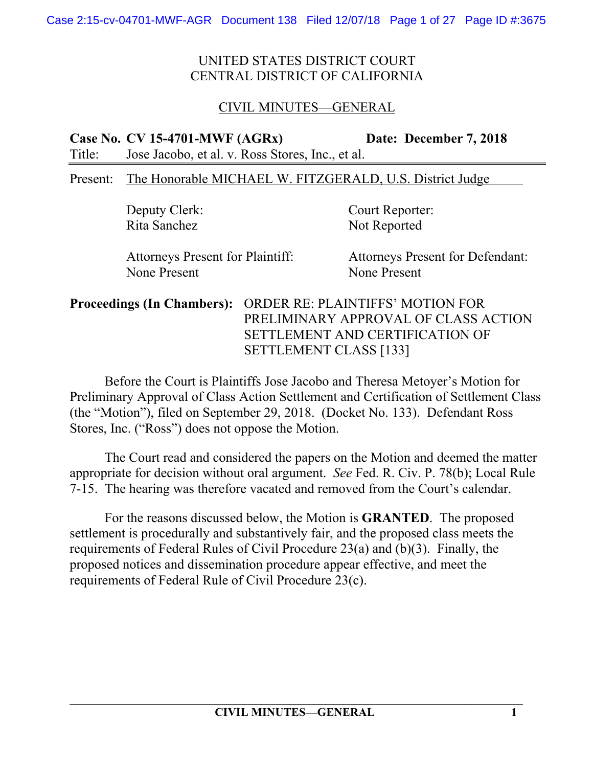# CIVIL MINUTES—GENERAL

**Case No. CV 15-4701-MWF (AGRx) Date: December 7, 2018**  Title: Jose Jacobo, et al. v. Ross Stores, Inc., et al.

#### Present: The Honorable MICHAEL W. FITZGERALD, U.S. District Judge

Rita Sanchez Not Reported

Deputy Clerk: Court Reporter:

None Present None Present

Attorneys Present for Plaintiff: Attorneys Present for Defendant:

**Proceedings (In Chambers):** ORDER RE: PLAINTIFFS' MOTION FOR PRELIMINARY APPROVAL OF CLASS ACTION SETTLEMENT AND CERTIFICATION OF SETTLEMENT CLASS [133]

Before the Court is Plaintiffs Jose Jacobo and Theresa Metoyer's Motion for Preliminary Approval of Class Action Settlement and Certification of Settlement Class (the "Motion"), filed on September 29, 2018. (Docket No. 133). Defendant Ross Stores, Inc. ("Ross") does not oppose the Motion.

The Court read and considered the papers on the Motion and deemed the matter appropriate for decision without oral argument. *See* Fed. R. Civ. P. 78(b); Local Rule 7-15. The hearing was therefore vacated and removed from the Court's calendar.

For the reasons discussed below, the Motion is **GRANTED**. The proposed settlement is procedurally and substantively fair, and the proposed class meets the requirements of Federal Rules of Civil Procedure 23(a) and (b)(3). Finally, the proposed notices and dissemination procedure appear effective, and meet the requirements of Federal Rule of Civil Procedure 23(c).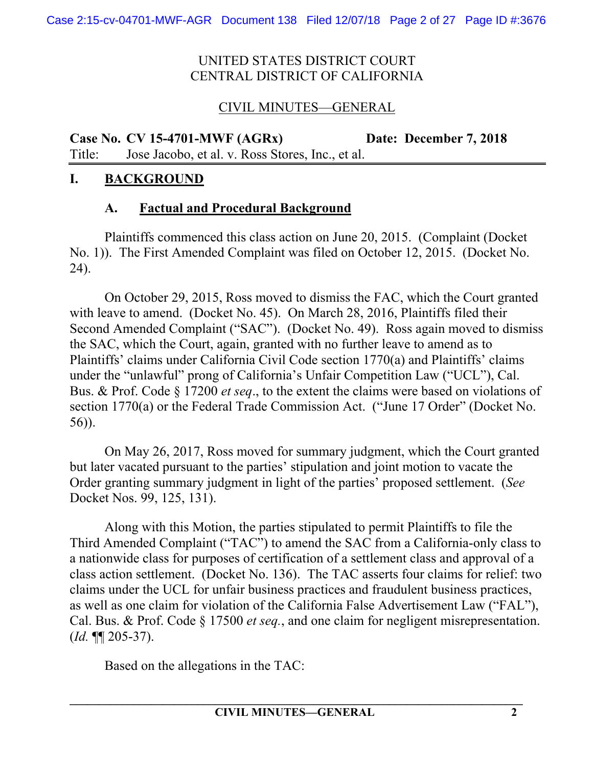# CIVIL MINUTES—GENERAL

**Case No. CV 15-4701-MWF (AGRx) Date: December 7, 2018**  Title: Jose Jacobo, et al. v. Ross Stores, Inc., et al.

#### **I. BACKGROUND**

### **A. Factual and Procedural Background**

Plaintiffs commenced this class action on June 20, 2015. (Complaint (Docket No. 1)). The First Amended Complaint was filed on October 12, 2015. (Docket No. 24).

On October 29, 2015, Ross moved to dismiss the FAC, which the Court granted with leave to amend. (Docket No. 45). On March 28, 2016, Plaintiffs filed their Second Amended Complaint ("SAC"). (Docket No. 49). Ross again moved to dismiss the SAC, which the Court, again, granted with no further leave to amend as to Plaintiffs' claims under California Civil Code section 1770(a) and Plaintiffs' claims under the "unlawful" prong of California's Unfair Competition Law ("UCL"), Cal. Bus. & Prof. Code § 17200 *et seq*., to the extent the claims were based on violations of section 1770(a) or the Federal Trade Commission Act. ("June 17 Order" (Docket No. 56)).

On May 26, 2017, Ross moved for summary judgment, which the Court granted but later vacated pursuant to the parties' stipulation and joint motion to vacate the Order granting summary judgment in light of the parties' proposed settlement. (*See* Docket Nos. 99, 125, 131).

Along with this Motion, the parties stipulated to permit Plaintiffs to file the Third Amended Complaint ("TAC") to amend the SAC from a California-only class to a nationwide class for purposes of certification of a settlement class and approval of a class action settlement. (Docket No. 136). The TAC asserts four claims for relief: two claims under the UCL for unfair business practices and fraudulent business practices, as well as one claim for violation of the California False Advertisement Law ("FAL"), Cal. Bus. & Prof. Code § 17500 *et seq.*, and one claim for negligent misrepresentation. (*Id.* ¶¶ 205-37).

Based on the allegations in the TAC: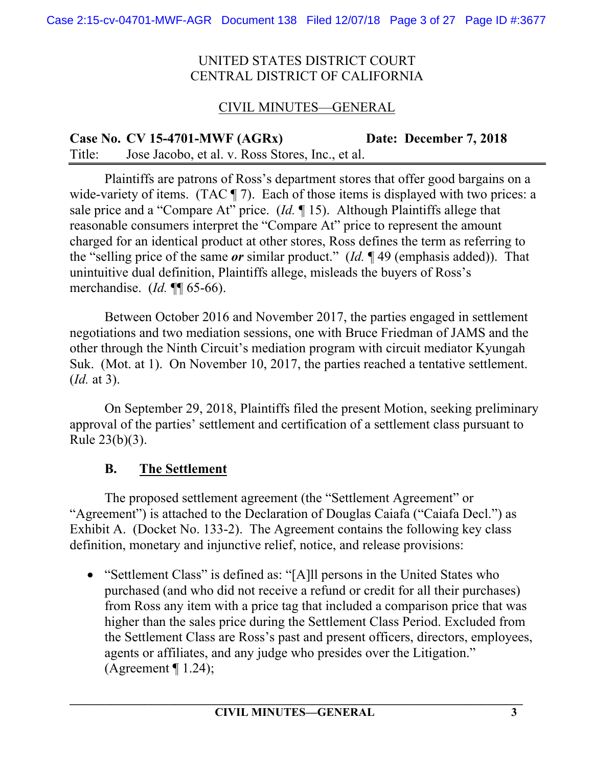# CIVIL MINUTES—GENERAL

**Case No. CV 15-4701-MWF (AGRx) Date: December 7, 2018**  Title: Jose Jacobo, et al. v. Ross Stores, Inc., et al.

Plaintiffs are patrons of Ross's department stores that offer good bargains on a wide-variety of items. (TAC  $\P$  7). Each of those items is displayed with two prices: a sale price and a "Compare At" price. (*Id.* ¶ 15). Although Plaintiffs allege that reasonable consumers interpret the "Compare At" price to represent the amount charged for an identical product at other stores, Ross defines the term as referring to the "selling price of the same *or* similar product." (*Id.* ¶ 49 (emphasis added)). That unintuitive dual definition, Plaintiffs allege, misleads the buyers of Ross's merchandise. (*Id.* ¶¶ 65-66).

 Between October 2016 and November 2017, the parties engaged in settlement negotiations and two mediation sessions, one with Bruce Friedman of JAMS and the other through the Ninth Circuit's mediation program with circuit mediator Kyungah Suk. (Mot. at 1). On November 10, 2017, the parties reached a tentative settlement. (*Id.* at 3).

On September 29, 2018, Plaintiffs filed the present Motion, seeking preliminary approval of the parties' settlement and certification of a settlement class pursuant to Rule 23(b)(3).

### **B. The Settlement**

The proposed settlement agreement (the "Settlement Agreement" or "Agreement") is attached to the Declaration of Douglas Caiafa ("Caiafa Decl.") as Exhibit A. (Docket No. 133-2). The Agreement contains the following key class definition, monetary and injunctive relief, notice, and release provisions:

• "Settlement Class" is defined as: "[A]ll persons in the United States who purchased (and who did not receive a refund or credit for all their purchases) from Ross any item with a price tag that included a comparison price that was higher than the sales price during the Settlement Class Period. Excluded from the Settlement Class are Ross's past and present officers, directors, employees, agents or affiliates, and any judge who presides over the Litigation." (Agreement  $\P$  1.24);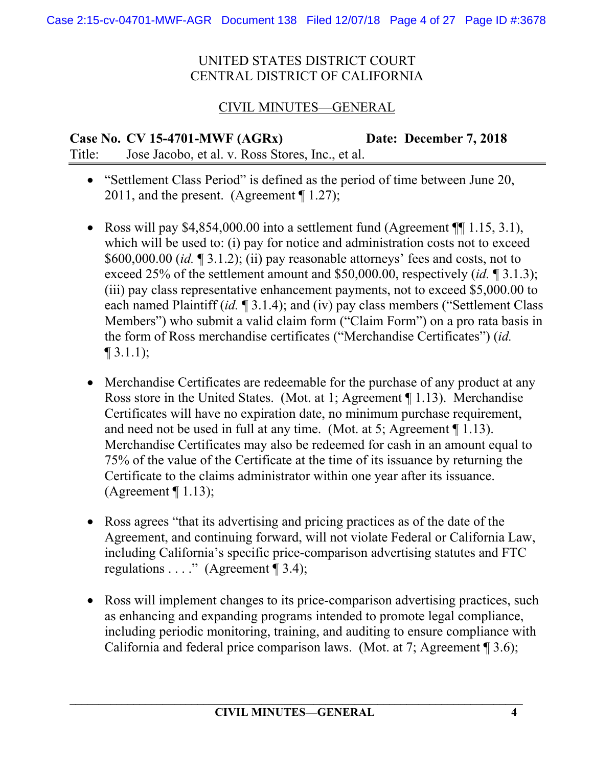# CIVIL MINUTES—GENERAL

**Case No. CV 15-4701-MWF (AGRx) Date: December 7, 2018**  Title: Jose Jacobo, et al. v. Ross Stores, Inc., et al.

- "Settlement Class Period" is defined as the period of time between June 20, 2011, and the present. (Agreement ¶ 1.27);
- Ross will pay  $$4,854,000.00$  into a settlement fund (Agreement  $\P$  1.15, 3.1), which will be used to: (i) pay for notice and administration costs not to exceed \$600,000.00 (*id.* ¶ 3.1.2); (ii) pay reasonable attorneys' fees and costs, not to exceed 25% of the settlement amount and \$50,000.00, respectively (*id.* ¶ 3.1.3); (iii) pay class representative enhancement payments, not to exceed \$5,000.00 to each named Plaintiff (*id.* ¶ 3.1.4); and (iv) pay class members ("Settlement Class Members") who submit a valid claim form ("Claim Form") on a pro rata basis in the form of Ross merchandise certificates ("Merchandise Certificates") (*id.*   $\P$  3.1.1);
- Merchandise Certificates are redeemable for the purchase of any product at any Ross store in the United States. (Mot. at 1; Agreement ¶ 1.13). Merchandise Certificates will have no expiration date, no minimum purchase requirement, and need not be used in full at any time. (Mot. at 5; Agreement ¶ 1.13). Merchandise Certificates may also be redeemed for cash in an amount equal to 75% of the value of the Certificate at the time of its issuance by returning the Certificate to the claims administrator within one year after its issuance. (Agreement  $\P$  1.13);
- Ross agrees "that its advertising and pricing practices as of the date of the Agreement, and continuing forward, will not violate Federal or California Law, including California's specific price-comparison advertising statutes and FTC regulations . . . ." (Agreement ¶ 3.4);
- Ross will implement changes to its price-comparison advertising practices, such as enhancing and expanding programs intended to promote legal compliance, including periodic monitoring, training, and auditing to ensure compliance with California and federal price comparison laws. (Mot. at 7; Agreement ¶ 3.6);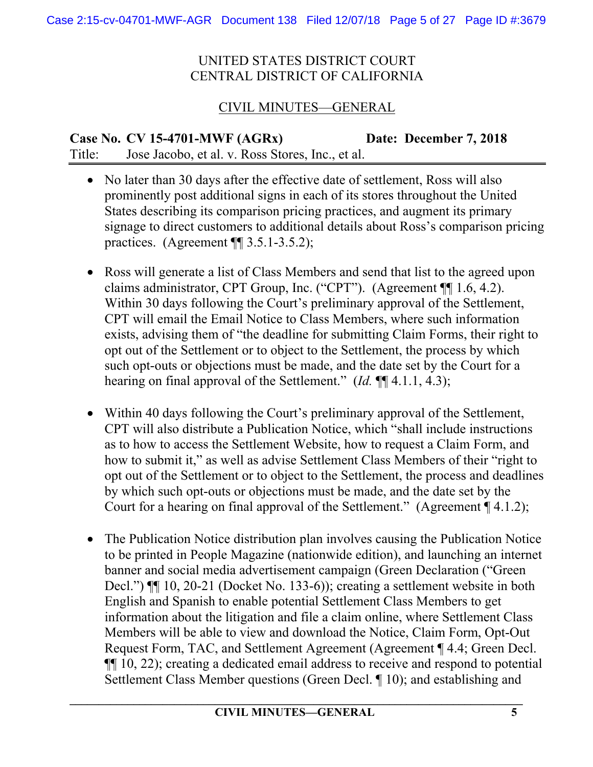# CIVIL MINUTES—GENERAL

**Case No. CV 15-4701-MWF (AGRx) Date: December 7, 2018**  Title: Jose Jacobo, et al. v. Ross Stores, Inc., et al.

- No later than 30 days after the effective date of settlement, Ross will also prominently post additional signs in each of its stores throughout the United States describing its comparison pricing practices, and augment its primary signage to direct customers to additional details about Ross's comparison pricing practices. (Agreement ¶¶ 3.5.1-3.5.2);
- Ross will generate a list of Class Members and send that list to the agreed upon claims administrator, CPT Group, Inc. ("CPT"). (Agreement ¶¶ 1.6, 4.2). Within 30 days following the Court's preliminary approval of the Settlement, CPT will email the Email Notice to Class Members, where such information exists, advising them of "the deadline for submitting Claim Forms, their right to opt out of the Settlement or to object to the Settlement, the process by which such opt-outs or objections must be made, and the date set by the Court for a hearing on final approval of the Settlement." (*Id.* ¶¶ 4.1.1, 4.3);
- Within 40 days following the Court's preliminary approval of the Settlement, CPT will also distribute a Publication Notice, which "shall include instructions as to how to access the Settlement Website, how to request a Claim Form, and how to submit it," as well as advise Settlement Class Members of their "right to opt out of the Settlement or to object to the Settlement, the process and deadlines by which such opt-outs or objections must be made, and the date set by the Court for a hearing on final approval of the Settlement." (Agreement ¶ 4.1.2);
- The Publication Notice distribution plan involves causing the Publication Notice to be printed in People Magazine (nationwide edition), and launching an internet banner and social media advertisement campaign (Green Declaration ("Green Decl.") ¶¶ 10, 20-21 (Docket No. 133-6)); creating a settlement website in both English and Spanish to enable potential Settlement Class Members to get information about the litigation and file a claim online, where Settlement Class Members will be able to view and download the Notice, Claim Form, Opt-Out Request Form, TAC, and Settlement Agreement (Agreement ¶ 4.4; Green Decl. ¶¶ 10, 22); creating a dedicated email address to receive and respond to potential Settlement Class Member questions (Green Decl. ¶ 10); and establishing and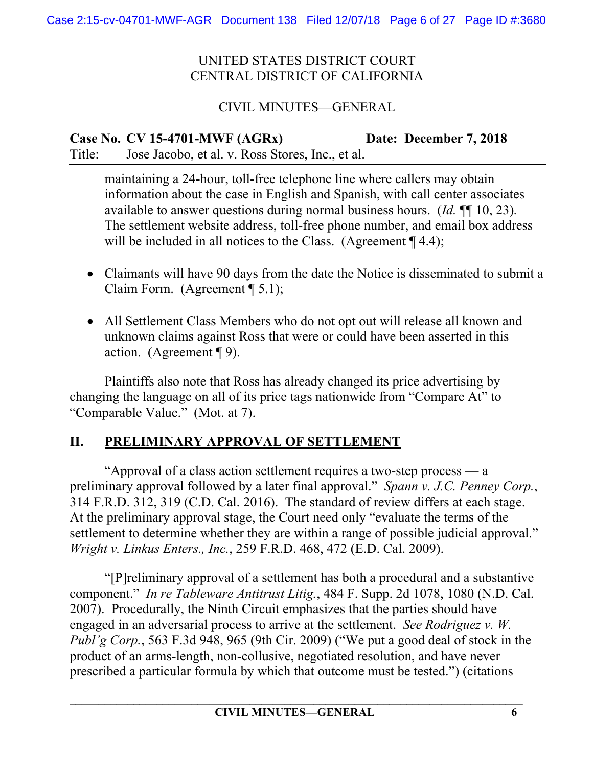# CIVIL MINUTES—GENERAL

**Case No. CV 15-4701-MWF (AGRx) Date: December 7, 2018**  Title: Jose Jacobo, et al. v. Ross Stores, Inc., et al.

maintaining a 24-hour, toll-free telephone line where callers may obtain information about the case in English and Spanish, with call center associates available to answer questions during normal business hours. (*Id.* ¶¶ 10, 23)*.*  The settlement website address, toll-free phone number, and email box address will be included in all notices to the Class. (Agreement ¶ 4.4);

- Claimants will have 90 days from the date the Notice is disseminated to submit a Claim Form. (Agreement ¶ 5.1);
- All Settlement Class Members who do not opt out will release all known and unknown claims against Ross that were or could have been asserted in this action. (Agreement ¶ 9).

Plaintiffs also note that Ross has already changed its price advertising by changing the language on all of its price tags nationwide from "Compare At" to "Comparable Value." (Mot. at 7).

# **II. PRELIMINARY APPROVAL OF SETTLEMENT**

"Approval of a class action settlement requires a two-step process — a preliminary approval followed by a later final approval." *Spann v. J.C. Penney Corp.*, 314 F.R.D. 312, 319 (C.D. Cal. 2016). The standard of review differs at each stage. At the preliminary approval stage, the Court need only "evaluate the terms of the settlement to determine whether they are within a range of possible judicial approval." *Wright v. Linkus Enters., Inc.*, 259 F.R.D. 468, 472 (E.D. Cal. 2009).

"[P]reliminary approval of a settlement has both a procedural and a substantive component." *In re Tableware Antitrust Litig.*, 484 F. Supp. 2d 1078, 1080 (N.D. Cal. 2007). Procedurally, the Ninth Circuit emphasizes that the parties should have engaged in an adversarial process to arrive at the settlement. *See Rodriguez v. W. Publ'g Corp.*, 563 F.3d 948, 965 (9th Cir. 2009) ("We put a good deal of stock in the product of an arms-length, non-collusive, negotiated resolution, and have never prescribed a particular formula by which that outcome must be tested.") (citations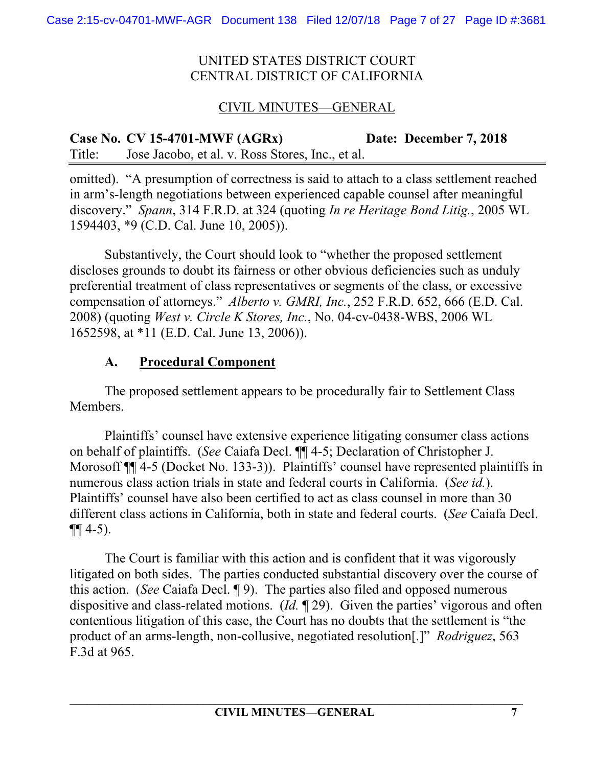# CIVIL MINUTES—GENERAL

**Case No. CV 15-4701-MWF (AGRx) Date: December 7, 2018**  Title: Jose Jacobo, et al. v. Ross Stores, Inc., et al.

omitted). "A presumption of correctness is said to attach to a class settlement reached in arm's-length negotiations between experienced capable counsel after meaningful discovery." *Spann*, 314 F.R.D. at 324 (quoting *In re Heritage Bond Litig.*, 2005 WL 1594403, \*9 (C.D. Cal. June 10, 2005)).

Substantively, the Court should look to "whether the proposed settlement discloses grounds to doubt its fairness or other obvious deficiencies such as unduly preferential treatment of class representatives or segments of the class, or excessive compensation of attorneys." *Alberto v. GMRI, Inc.*, 252 F.R.D. 652, 666 (E.D. Cal. 2008) (quoting *West v. Circle K Stores, Inc.*, No. 04-cv-0438-WBS, 2006 WL 1652598, at \*11 (E.D. Cal. June 13, 2006)).

# **A. Procedural Component**

The proposed settlement appears to be procedurally fair to Settlement Class **Members** 

Plaintiffs' counsel have extensive experience litigating consumer class actions on behalf of plaintiffs. (*See* Caiafa Decl. ¶¶ 4-5; Declaration of Christopher J. Morosoff ¶¶ 4-5 (Docket No. 133-3)). Plaintiffs' counsel have represented plaintiffs in numerous class action trials in state and federal courts in California. (*See id.*). Plaintiffs' counsel have also been certified to act as class counsel in more than 30 different class actions in California, both in state and federal courts. (*See* Caiafa Decl.  $\P\P$  4-5).

The Court is familiar with this action and is confident that it was vigorously litigated on both sides. The parties conducted substantial discovery over the course of this action. (*See* Caiafa Decl. ¶ 9). The parties also filed and opposed numerous dispositive and class-related motions. (*Id.* ¶ 29). Given the parties' vigorous and often contentious litigation of this case, the Court has no doubts that the settlement is "the product of an arms-length, non-collusive, negotiated resolution[.]" *Rodriguez*, 563 F.3d at 965.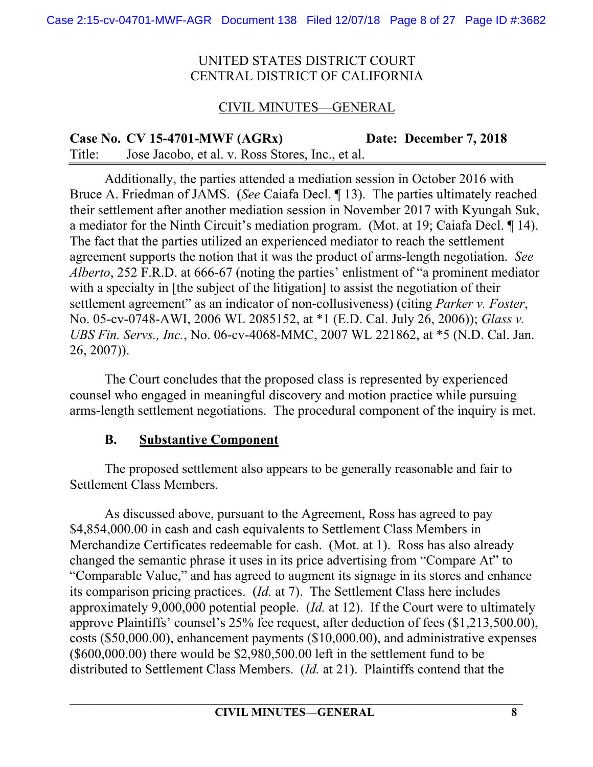# CIVIL MINUTES—GENERAL

**Case No. CV 15-4701-MWF (AGRx) Date: December 7, 2018**  Title: Jose Jacobo, et al. v. Ross Stores, Inc., et al.

Additionally, the parties attended a mediation session in October 2016 with Bruce A. Friedman of JAMS. (*See* Caiafa Decl. ¶ 13). The parties ultimately reached their settlement after another mediation session in November 2017 with Kyungah Suk, a mediator for the Ninth Circuit's mediation program. (Mot. at 19; Caiafa Decl. ¶ 14). The fact that the parties utilized an experienced mediator to reach the settlement agreement supports the notion that it was the product of arms-length negotiation. *See Alberto*, 252 F.R.D. at 666-67 (noting the parties' enlistment of "a prominent mediator with a specialty in [the subject of the litigation] to assist the negotiation of their settlement agreement" as an indicator of non-collusiveness) (citing *Parker v. Foster*, No. 05-cv-0748-AWI, 2006 WL 2085152, at \*1 (E.D. Cal. July 26, 2006)); *Glass v. UBS Fin. Servs., Inc.*, No. 06-cv-4068-MMC, 2007 WL 221862, at \*5 (N.D. Cal. Jan. 26, 2007)).

The Court concludes that the proposed class is represented by experienced counsel who engaged in meaningful discovery and motion practice while pursuing arms-length settlement negotiations. The procedural component of the inquiry is met.

### **B. Substantive Component**

The proposed settlement also appears to be generally reasonable and fair to Settlement Class Members.

As discussed above, pursuant to the Agreement, Ross has agreed to pay \$4,854,000.00 in cash and cash equivalents to Settlement Class Members in Merchandize Certificates redeemable for cash. (Mot. at 1). Ross has also already changed the semantic phrase it uses in its price advertising from "Compare At" to "Comparable Value," and has agreed to augment its signage in its stores and enhance its comparison pricing practices. (*Id.* at 7). The Settlement Class here includes approximately 9,000,000 potential people. (*Id.* at 12). If the Court were to ultimately approve Plaintiffs' counsel's 25% fee request, after deduction of fees (\$1,213,500.00), costs (\$50,000.00), enhancement payments (\$10,000.00), and administrative expenses (\$600,000.00) there would be \$2,980,500.00 left in the settlement fund to be distributed to Settlement Class Members. (*Id.* at 21). Plaintiffs contend that the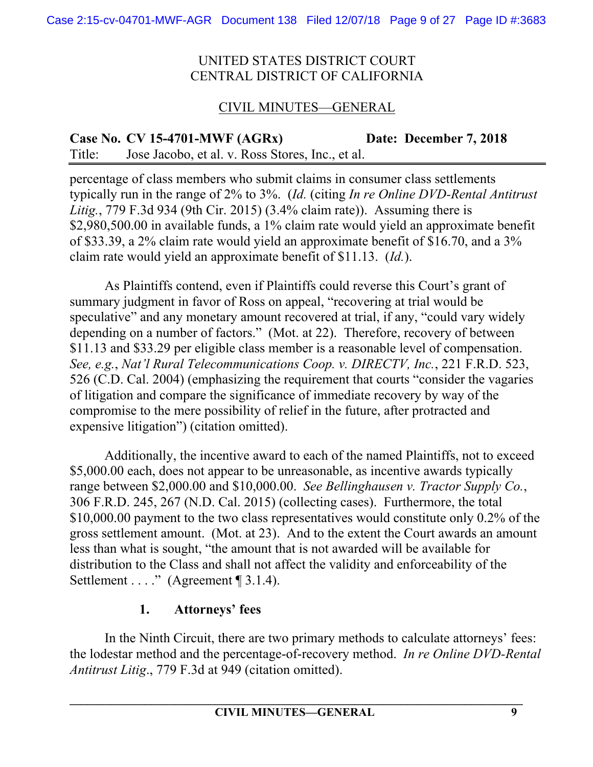# CIVIL MINUTES—GENERAL

**Case No. CV 15-4701-MWF (AGRx) Date: December 7, 2018**  Title: Jose Jacobo, et al. v. Ross Stores, Inc., et al.

percentage of class members who submit claims in consumer class settlements typically run in the range of 2% to 3%. (*Id.* (citing *In re Online DVD-Rental Antitrust Litig.*, 779 F.3d 934 (9th Cir. 2015) (3.4% claim rate)). Assuming there is \$2,980,500.00 in available funds, a 1% claim rate would yield an approximate benefit of \$33.39, a 2% claim rate would yield an approximate benefit of \$16.70, and a 3% claim rate would yield an approximate benefit of \$11.13. (*Id.*).

As Plaintiffs contend, even if Plaintiffs could reverse this Court's grant of summary judgment in favor of Ross on appeal, "recovering at trial would be speculative" and any monetary amount recovered at trial, if any, "could vary widely depending on a number of factors." (Mot. at 22). Therefore, recovery of between \$11.13 and \$33.29 per eligible class member is a reasonable level of compensation. *See, e.g.*, *Nat'l Rural Telecommunications Coop. v. DIRECTV, Inc.*, 221 F.R.D. 523, 526 (C.D. Cal. 2004) (emphasizing the requirement that courts "consider the vagaries of litigation and compare the significance of immediate recovery by way of the compromise to the mere possibility of relief in the future, after protracted and expensive litigation") (citation omitted).

Additionally, the incentive award to each of the named Plaintiffs, not to exceed \$5,000.00 each, does not appear to be unreasonable, as incentive awards typically range between \$2,000.00 and \$10,000.00. *See Bellinghausen v. Tractor Supply Co.*, 306 F.R.D. 245, 267 (N.D. Cal. 2015) (collecting cases). Furthermore, the total \$10,000.00 payment to the two class representatives would constitute only 0.2% of the gross settlement amount. (Mot. at 23). And to the extent the Court awards an amount less than what is sought, "the amount that is not awarded will be available for distribution to the Class and shall not affect the validity and enforceability of the Settlement . . . ." (Agreement ¶ 3.1.4).

### **1. Attorneys' fees**

In the Ninth Circuit, there are two primary methods to calculate attorneys' fees: the lodestar method and the percentage-of-recovery method. *In re Online DVD-Rental Antitrust Litig*., 779 F.3d at 949 (citation omitted).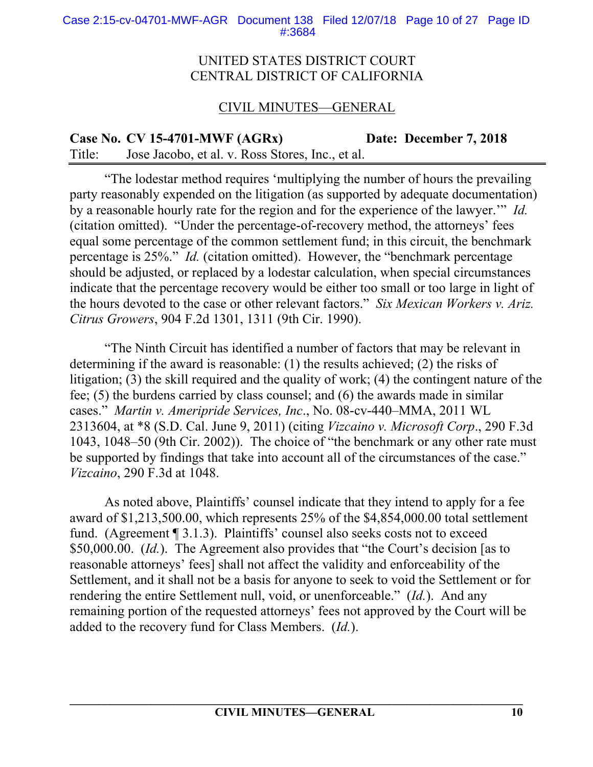#### Case 2:15-cv-04701-MWF-AGR Document 138 Filed 12/07/18 Page 10 of 27 Page ID #:3684

#### UNITED STATES DISTRICT COURT CENTRAL DISTRICT OF CALIFORNIA

### CIVIL MINUTES—GENERAL

**Case No. CV 15-4701-MWF (AGRx) Date: December 7, 2018**  Title: Jose Jacobo, et al. v. Ross Stores, Inc., et al.

"The lodestar method requires 'multiplying the number of hours the prevailing party reasonably expended on the litigation (as supported by adequate documentation) by a reasonable hourly rate for the region and for the experience of the lawyer.'" *Id.*  (citation omitted). "Under the percentage-of-recovery method, the attorneys' fees equal some percentage of the common settlement fund; in this circuit, the benchmark percentage is 25%." *Id.* (citation omitted). However, the "benchmark percentage should be adjusted, or replaced by a lodestar calculation, when special circumstances indicate that the percentage recovery would be either too small or too large in light of the hours devoted to the case or other relevant factors." *Six Mexican Workers v. Ariz. Citrus Growers*, 904 F.2d 1301, 1311 (9th Cir. 1990).

"The Ninth Circuit has identified a number of factors that may be relevant in determining if the award is reasonable: (1) the results achieved; (2) the risks of litigation; (3) the skill required and the quality of work; (4) the contingent nature of the fee; (5) the burdens carried by class counsel; and (6) the awards made in similar cases." *Martin v. Ameripride Services, Inc*., No. 08-cv-440–MMA, 2011 WL 2313604, at \*8 (S.D. Cal. June 9, 2011) (citing *Vizcaino v. Microsoft Corp*., 290 F.3d 1043, 1048–50 (9th Cir. 2002)). The choice of "the benchmark or any other rate must be supported by findings that take into account all of the circumstances of the case." *Vizcaino*, 290 F.3d at 1048.

As noted above, Plaintiffs' counsel indicate that they intend to apply for a fee award of \$1,213,500.00, which represents 25% of the \$4,854,000.00 total settlement fund. (Agreement ¶ 3.1.3). Plaintiffs' counsel also seeks costs not to exceed \$50,000.00. (*Id.*). The Agreement also provides that "the Court's decision [as to reasonable attorneys' fees] shall not affect the validity and enforceability of the Settlement, and it shall not be a basis for anyone to seek to void the Settlement or for rendering the entire Settlement null, void, or unenforceable." (*Id.*). And any remaining portion of the requested attorneys' fees not approved by the Court will be added to the recovery fund for Class Members. (*Id.*).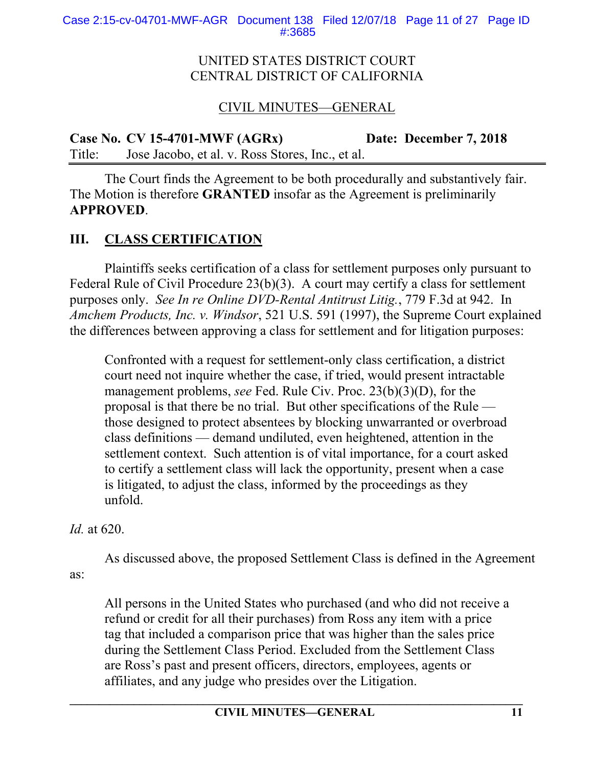# CIVIL MINUTES—GENERAL

**Case No. CV 15-4701-MWF (AGRx) Date: December 7, 2018**  Title: Jose Jacobo, et al. v. Ross Stores, Inc., et al.

The Court finds the Agreement to be both procedurally and substantively fair. The Motion is therefore **GRANTED** insofar as the Agreement is preliminarily **APPROVED**.

# **III. CLASS CERTIFICATION**

Plaintiffs seeks certification of a class for settlement purposes only pursuant to Federal Rule of Civil Procedure 23(b)(3). A court may certify a class for settlement purposes only. *See In re Online DVD-Rental Antitrust Litig.*, 779 F.3d at 942. In *Amchem Products, Inc. v. Windsor*, 521 U.S. 591 (1997), the Supreme Court explained the differences between approving a class for settlement and for litigation purposes:

Confronted with a request for settlement-only class certification, a district court need not inquire whether the case, if tried, would present intractable management problems, *see* Fed. Rule Civ. Proc. 23(b)(3)(D), for the proposal is that there be no trial. But other specifications of the Rule those designed to protect absentees by blocking unwarranted or overbroad class definitions — demand undiluted, even heightened, attention in the settlement context. Such attention is of vital importance, for a court asked to certify a settlement class will lack the opportunity, present when a case is litigated, to adjust the class, informed by the proceedings as they unfold.

*Id.* at 620.

As discussed above, the proposed Settlement Class is defined in the Agreement as:

All persons in the United States who purchased (and who did not receive a refund or credit for all their purchases) from Ross any item with a price tag that included a comparison price that was higher than the sales price during the Settlement Class Period. Excluded from the Settlement Class are Ross's past and present officers, directors, employees, agents or affiliates, and any judge who presides over the Litigation.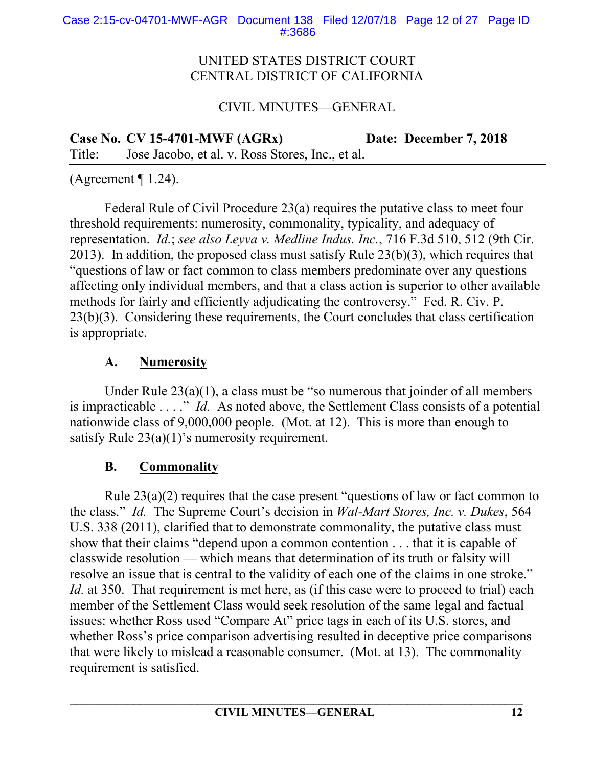# CIVIL MINUTES—GENERAL

**Case No. CV 15-4701-MWF (AGRx) Date: December 7, 2018**  Title: Jose Jacobo, et al. v. Ross Stores, Inc., et al.

(Agreement  $\P$  1.24).

Federal Rule of Civil Procedure 23(a) requires the putative class to meet four threshold requirements: numerosity, commonality, typicality, and adequacy of representation. *Id.*; *see also Leyva v. Medline Indus. Inc.*, 716 F.3d 510, 512 (9th Cir. 2013). In addition, the proposed class must satisfy Rule 23(b)(3), which requires that "questions of law or fact common to class members predominate over any questions affecting only individual members, and that a class action is superior to other available methods for fairly and efficiently adjudicating the controversy." Fed. R. Civ. P. 23(b)(3). Considering these requirements, the Court concludes that class certification is appropriate.

# **A. Numerosity**

Under Rule  $23(a)(1)$ , a class must be "so numerous that joinder of all members is impracticable . . . ." *Id.* As noted above, the Settlement Class consists of a potential nationwide class of 9,000,000 people. (Mot. at 12). This is more than enough to satisfy Rule  $23(a)(1)$ 's numerosity requirement.

# **B. Commonality**

Rule 23(a)(2) requires that the case present "questions of law or fact common to the class." *Id.* The Supreme Court's decision in *Wal-Mart Stores, Inc. v. Dukes*, 564 U.S. 338 (2011), clarified that to demonstrate commonality, the putative class must show that their claims "depend upon a common contention . . . that it is capable of classwide resolution — which means that determination of its truth or falsity will resolve an issue that is central to the validity of each one of the claims in one stroke." *Id.* at 350. That requirement is met here, as (if this case were to proceed to trial) each member of the Settlement Class would seek resolution of the same legal and factual issues: whether Ross used "Compare At" price tags in each of its U.S. stores, and whether Ross's price comparison advertising resulted in deceptive price comparisons that were likely to mislead a reasonable consumer. (Mot. at 13). The commonality requirement is satisfied.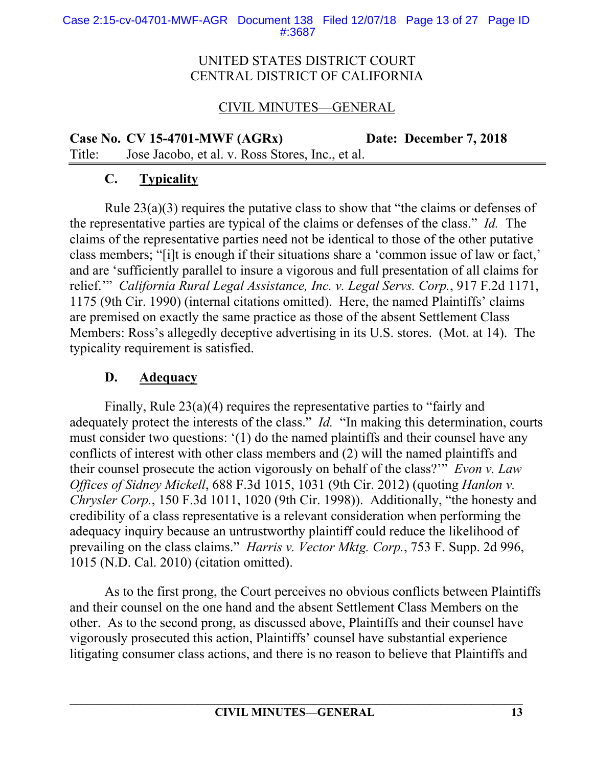# CIVIL MINUTES—GENERAL

**Case No. CV 15-4701-MWF (AGRx) Date: December 7, 2018**  Title: Jose Jacobo, et al. v. Ross Stores, Inc., et al.

# **C. Typicality**

Rule 23(a)(3) requires the putative class to show that "the claims or defenses of the representative parties are typical of the claims or defenses of the class." *Id.* The claims of the representative parties need not be identical to those of the other putative class members; "[i]t is enough if their situations share a 'common issue of law or fact,' and are 'sufficiently parallel to insure a vigorous and full presentation of all claims for relief.'" *California Rural Legal Assistance, Inc. v. Legal Servs. Corp.*, 917 F.2d 1171, 1175 (9th Cir. 1990) (internal citations omitted). Here, the named Plaintiffs' claims are premised on exactly the same practice as those of the absent Settlement Class Members: Ross's allegedly deceptive advertising in its U.S. stores. (Mot. at 14). The typicality requirement is satisfied.

### **D. Adequacy**

Finally, Rule 23(a)(4) requires the representative parties to "fairly and adequately protect the interests of the class." *Id.* "In making this determination, courts must consider two questions: '(1) do the named plaintiffs and their counsel have any conflicts of interest with other class members and (2) will the named plaintiffs and their counsel prosecute the action vigorously on behalf of the class?'" *Evon v. Law Offices of Sidney Mickell*, 688 F.3d 1015, 1031 (9th Cir. 2012) (quoting *Hanlon v. Chrysler Corp.*, 150 F.3d 1011, 1020 (9th Cir. 1998)). Additionally, "the honesty and credibility of a class representative is a relevant consideration when performing the adequacy inquiry because an untrustworthy plaintiff could reduce the likelihood of prevailing on the class claims." *Harris v. Vector Mktg. Corp.*, 753 F. Supp. 2d 996, 1015 (N.D. Cal. 2010) (citation omitted).

As to the first prong, the Court perceives no obvious conflicts between Plaintiffs and their counsel on the one hand and the absent Settlement Class Members on the other. As to the second prong, as discussed above, Plaintiffs and their counsel have vigorously prosecuted this action, Plaintiffs' counsel have substantial experience litigating consumer class actions, and there is no reason to believe that Plaintiffs and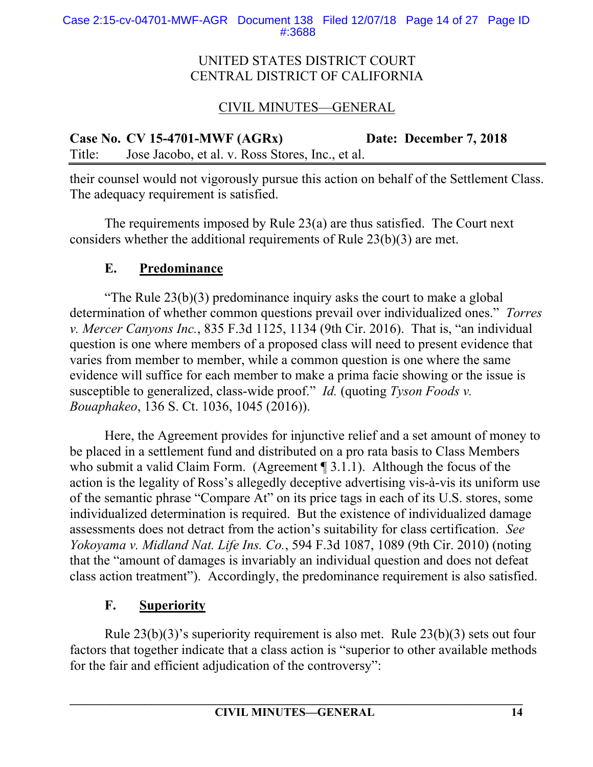# CIVIL MINUTES—GENERAL

**Case No. CV 15-4701-MWF (AGRx) Date: December 7, 2018**  Title: Jose Jacobo, et al. v. Ross Stores, Inc., et al.

their counsel would not vigorously pursue this action on behalf of the Settlement Class. The adequacy requirement is satisfied.

The requirements imposed by Rule 23(a) are thus satisfied. The Court next considers whether the additional requirements of Rule 23(b)(3) are met.

# **E. Predominance**

"The Rule  $23(b)(3)$  predominance inquiry asks the court to make a global determination of whether common questions prevail over individualized ones." *Torres v. Mercer Canyons Inc.*, 835 F.3d 1125, 1134 (9th Cir. 2016). That is, "an individual question is one where members of a proposed class will need to present evidence that varies from member to member, while a common question is one where the same evidence will suffice for each member to make a prima facie showing or the issue is susceptible to generalized, class-wide proof." *Id.* (quoting *Tyson Foods v. Bouaphakeo*, 136 S. Ct. 1036, 1045 (2016)).

Here, the Agreement provides for injunctive relief and a set amount of money to be placed in a settlement fund and distributed on a pro rata basis to Class Members who submit a valid Claim Form. (Agreement [9] 3.1.1). Although the focus of the action is the legality of Ross's allegedly deceptive advertising vis-à-vis its uniform use of the semantic phrase "Compare At" on its price tags in each of its U.S. stores, some individualized determination is required. But the existence of individualized damage assessments does not detract from the action's suitability for class certification. *See Yokoyama v. Midland Nat. Life Ins. Co.*, 594 F.3d 1087, 1089 (9th Cir. 2010) (noting that the "amount of damages is invariably an individual question and does not defeat class action treatment"). Accordingly, the predominance requirement is also satisfied.

# **F. Superiority**

Rule 23(b)(3)'s superiority requirement is also met. Rule 23(b)(3) sets out four factors that together indicate that a class action is "superior to other available methods for the fair and efficient adjudication of the controversy":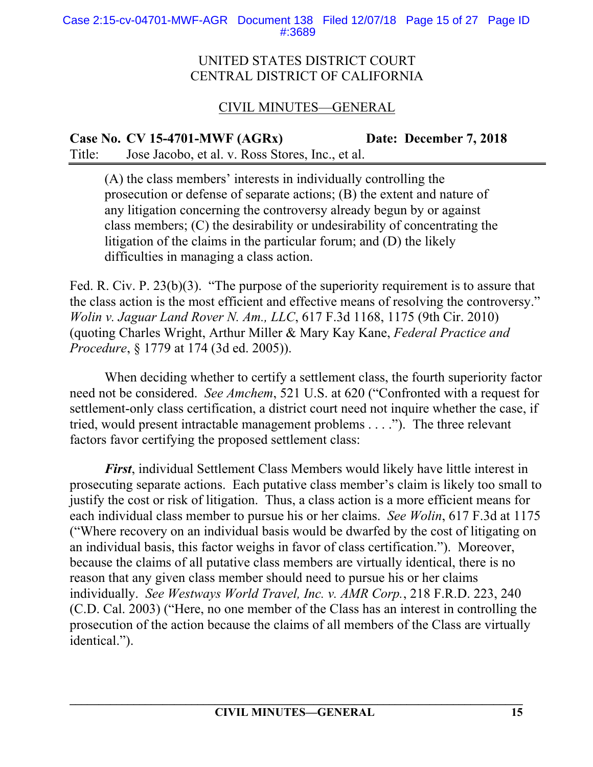Case 2:15-cv-04701-MWF-AGR Document 138 Filed 12/07/18 Page 15 of 27 Page ID #:3689

#### UNITED STATES DISTRICT COURT CENTRAL DISTRICT OF CALIFORNIA

# CIVIL MINUTES—GENERAL

**Case No. CV 15-4701-MWF (AGRx) Date: December 7, 2018**  Title: Jose Jacobo, et al. v. Ross Stores, Inc., et al.

(A) the class members' interests in individually controlling the prosecution or defense of separate actions; (B) the extent and nature of any litigation concerning the controversy already begun by or against class members; (C) the desirability or undesirability of concentrating the litigation of the claims in the particular forum; and (D) the likely difficulties in managing a class action.

Fed. R. Civ. P. 23(b)(3). "The purpose of the superiority requirement is to assure that the class action is the most efficient and effective means of resolving the controversy." *Wolin v. Jaguar Land Rover N. Am., LLC*, 617 F.3d 1168, 1175 (9th Cir. 2010) (quoting Charles Wright, Arthur Miller & Mary Kay Kane, *Federal Practice and Procedure*, § 1779 at 174 (3d ed. 2005)).

When deciding whether to certify a settlement class, the fourth superiority factor need not be considered. *See Amchem*, 521 U.S. at 620 ("Confronted with a request for settlement-only class certification, a district court need not inquire whether the case, if tried, would present intractable management problems . . . ."). The three relevant factors favor certifying the proposed settlement class:

*First*, individual Settlement Class Members would likely have little interest in prosecuting separate actions. Each putative class member's claim is likely too small to justify the cost or risk of litigation. Thus, a class action is a more efficient means for each individual class member to pursue his or her claims. *See Wolin*, 617 F.3d at 1175 ("Where recovery on an individual basis would be dwarfed by the cost of litigating on an individual basis, this factor weighs in favor of class certification."). Moreover, because the claims of all putative class members are virtually identical, there is no reason that any given class member should need to pursue his or her claims individually. *See Westways World Travel, Inc. v. AMR Corp.*, 218 F.R.D. 223, 240 (C.D. Cal. 2003) ("Here, no one member of the Class has an interest in controlling the prosecution of the action because the claims of all members of the Class are virtually identical.").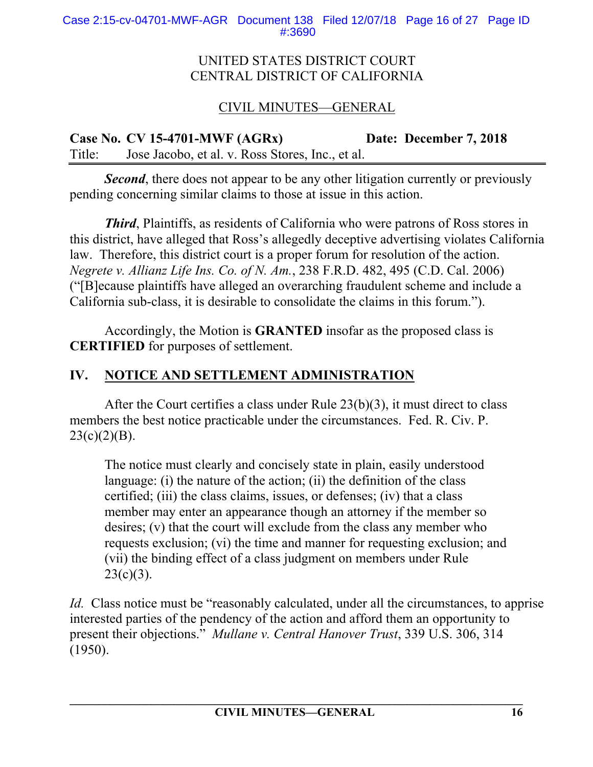# CIVIL MINUTES—GENERAL

**Case No. CV 15-4701-MWF (AGRx) Date: December 7, 2018**  Title: Jose Jacobo, et al. v. Ross Stores, Inc., et al.

**Second**, there does not appear to be any other litigation currently or previously pending concerning similar claims to those at issue in this action.

*Third*, Plaintiffs, as residents of California who were patrons of Ross stores in this district, have alleged that Ross's allegedly deceptive advertising violates California law. Therefore, this district court is a proper forum for resolution of the action. *Negrete v. Allianz Life Ins. Co. of N. Am.*, 238 F.R.D. 482, 495 (C.D. Cal. 2006) ("[B]ecause plaintiffs have alleged an overarching fraudulent scheme and include a California sub-class, it is desirable to consolidate the claims in this forum.").

Accordingly, the Motion is **GRANTED** insofar as the proposed class is **CERTIFIED** for purposes of settlement.

# **IV. NOTICE AND SETTLEMENT ADMINISTRATION**

After the Court certifies a class under Rule 23(b)(3), it must direct to class members the best notice practicable under the circumstances. Fed. R. Civ. P.  $23(c)(2)(B)$ .

The notice must clearly and concisely state in plain, easily understood language: (i) the nature of the action; (ii) the definition of the class certified; (iii) the class claims, issues, or defenses; (iv) that a class member may enter an appearance though an attorney if the member so desires; (v) that the court will exclude from the class any member who requests exclusion; (vi) the time and manner for requesting exclusion; and (vii) the binding effect of a class judgment on members under Rule  $23(c)(3)$ .

*Id.* Class notice must be "reasonably calculated, under all the circumstances, to apprise interested parties of the pendency of the action and afford them an opportunity to present their objections." *Mullane v. Central Hanover Trust*, 339 U.S. 306, 314 (1950).